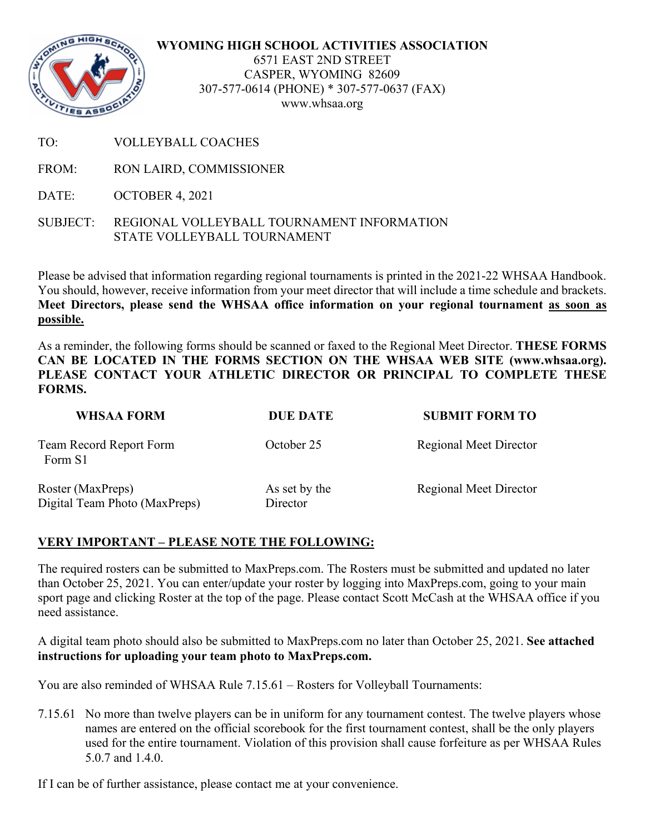

**WYOMING HIGH SCHOOL ACTIVITIES ASSOCIATION**

6571 EAST 2ND STREET CASPER, WYOMING 82609 307-577-0614 (PHONE) \* 307-577-0637 (FAX) www.whsaa.org

- TO: VOLLEYBALL COACHES
- FROM: RON LAIRD, COMMISSIONER
- DATE: OCTOBER 4, 2021
- SUBJECT: REGIONAL VOLLEYBALL TOURNAMENT INFORMATION STATE VOLLEYBALL TOURNAMENT

Please be advised that information regarding regional tournaments is printed in the 2021-22 WHSAA Handbook. You should, however, receive information from your meet director that will include a time schedule and brackets. **Meet Directors, please send the WHSAA office information on your regional tournament as soon as possible.**

As a reminder, the following forms should be scanned or faxed to the Regional Meet Director. **THESE FORMS CAN BE LOCATED IN THE FORMS SECTION ON THE WHSAA WEB SITE (www.whsaa.org). PLEASE CONTACT YOUR ATHLETIC DIRECTOR OR PRINCIPAL TO COMPLETE THESE FORMS.** 

| <b>WHSAA FORM</b>                                  | <b>DUE DATE</b>           | <b>SUBMIT FORM TO</b>         |
|----------------------------------------------------|---------------------------|-------------------------------|
| <b>Team Record Report Form</b><br>Form S1          | October 25                | <b>Regional Meet Director</b> |
| Roster (MaxPreps)<br>Digital Team Photo (MaxPreps) | As set by the<br>Director | <b>Regional Meet Director</b> |

# **VERY IMPORTANT – PLEASE NOTE THE FOLLOWING:**

The required rosters can be submitted to MaxPreps.com. The Rosters must be submitted and updated no later than October 25, 2021. You can enter/update your roster by logging into MaxPreps.com, going to your main sport page and clicking Roster at the top of the page. Please contact Scott McCash at the WHSAA office if you need assistance.

A digital team photo should also be submitted to MaxPreps.com no later than October 25, 2021. **See attached instructions for uploading your team photo to MaxPreps.com.**

You are also reminded of WHSAA Rule 7.15.61 – Rosters for Volleyball Tournaments:

7.15.61 No more than twelve players can be in uniform for any tournament contest. The twelve players whose names are entered on the official scorebook for the first tournament contest, shall be the only players used for the entire tournament. Violation of this provision shall cause forfeiture as per WHSAA Rules 5.0.7 and 1.4.0.

If I can be of further assistance, please contact me at your convenience.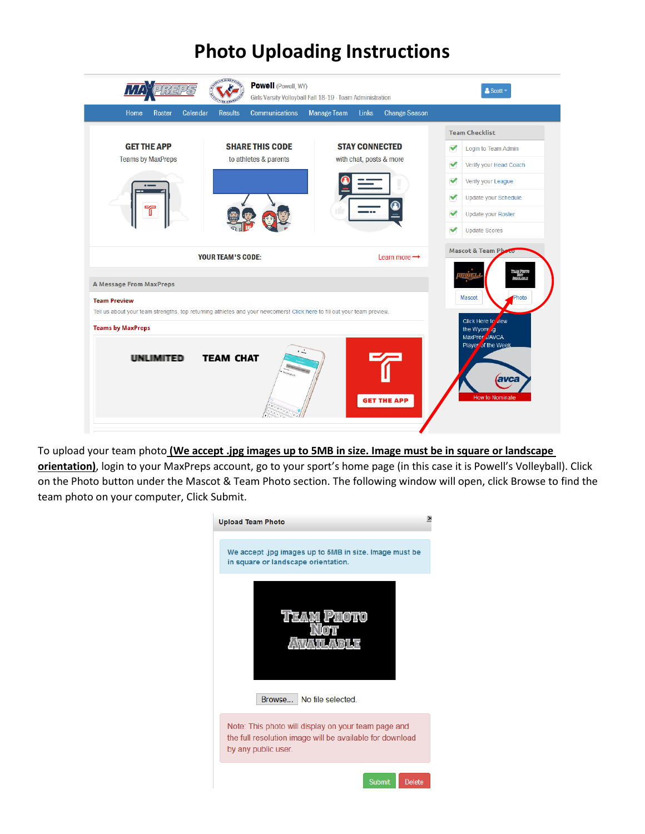# **Photo Uploading Instructions**



To upload your team photo **(We accept .jpg images up to 5MB in size. Image must be in square or landscape orientation)**, login to your MaxPreps account, go to your sport's home page (in this case it is Powell's Volleyball). Click on the Photo button under the Mascot & Team Photo section. The following window will open, click Browse to find the team photo on your computer, Click Submit.

| <b>Upload Team Photo</b>                                                                                                               |  |
|----------------------------------------------------------------------------------------------------------------------------------------|--|
| We accept .jpg images up to 5MB in size. Image must be<br>in square or landscape orientation.                                          |  |
| PHOTO<br><b>EZANNI</b>                                                                                                                 |  |
| No file selected.<br>Browse                                                                                                            |  |
| Note: This photo will display on your team page and<br>the full resolution image will be available for download<br>by any public user. |  |
| <b>Submit</b><br><b>Delete</b>                                                                                                         |  |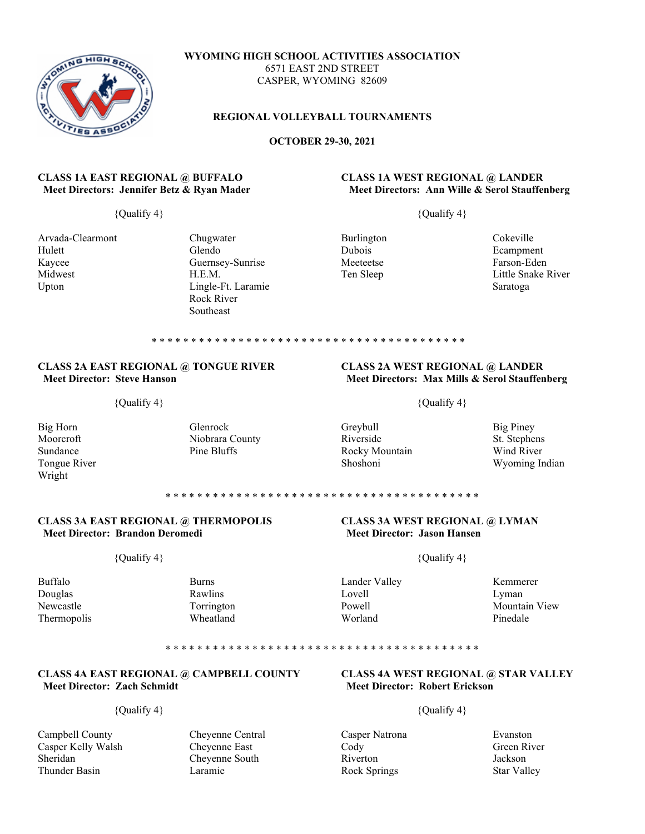

**WYOMING HIGH SCHOOL ACTIVITIES ASSOCIATION** 6571 EAST 2ND STREET CASPER, WYOMING 82609

#### **REGIONAL VOLLEYBALL TOURNAMENTS**

**OCTOBER 29-30, 2021**

# **CLASS 1A EAST REGIONAL @ BUFFALO CLASS 1A WEST REGIONAL @ LANDER Meet Directors: Jennifer Betz & Ryan Mader Meet Directors: Ann Wille & Serol Stauffenberg**

 ${Quality 4}$  {Qualify 4}

- Hulett Glendo Dubois Ecampment Kaycee Guernsey-Sunrise Meeteetse Farson-Eden Midwest **H.E.M.** Ten Sleep Little Snake River Upton Lingle-Ft. Laramie Saratoga
- Arvada-Clearmont Chugwater Chugwater Burlington Cokeville<br>
Hulett Clearmont Glendo Dubois Desempine Rock River Southeast

#### \* \* \* \* \* \* \* \* \* \* \* \* \* \* \* \* \* \* \* \* \* \* \* \* \* \* \* \* \* \* \* \* \* \* \* \* \* \* \* \*

## **CLASS 2A EAST REGIONAL @ TONGUE RIVER CLASS 2A WEST REGIONAL @ LANDER Meet Director: Steve Hanson Meet Directors: Max Mills & Serol Stauffenberg**

 ${Qualify 4}$   ${Qualify 4}$ 

Wright

Big Horn Glenrock Greybull Big Piney Moorcroft Niobrara County Riverside St. Stephens Sundance Pine Bluffs Rocky Mountain Tongue River

Wyoming Indian

\* \* \* \* \* \* \* \* \* \* \* \* \* \* \* \* \* \* \* \* \* \* \* \* \* \* \* \* \* \* \* \* \* \* \* \* \* \* \* \*

# **CLASS 3A EAST REGIONAL @ THERMOPOLIS CLASS 3A WEST REGIONAL @ LYMAN Meet Director: Brandon Deromedi Meet Director: Jason Hansen**

Buffalo Burns Lander Valley Kemmerer Douglas Rawlins Lovell Lyman Thermopolis Wheatland Worland Pinedale

 $\{$ Qualify 4\}  $\{$ 

Newcastle **Torrington Powell** Powell **Mountain View** 

\* \* \* \* \* \* \* \* \* \* \* \* \* \* \* \* \* \* \* \* \* \* \* \* \* \* \* \* \* \* \* \* \* \* \* \* \* \* \* \*

# **CLASS 4A EAST REGIONAL @ CAMPBELL COUNTY CLASS 4A WEST REGIONAL @ STAR VALLEY**

 $\{$ Quality 4\}  $\{$ Qualify 4 $\}$ 

Campbell County Cheyenne Central Casper Natrona Evanston Evanston<br>
Casper Kelly Walsh Cheyenne East Cody Green River Casper Kelly Walsh Cheyenne East Cody<br>
Sheridan Chevenne South Riverton Sheridan Cheyenne South Riverton Jackson<br>
Thunder Basin Laramie Cheyenne South Rock Springs Star Valley

# **Meet Director: Robert Erickson**

Rock Springs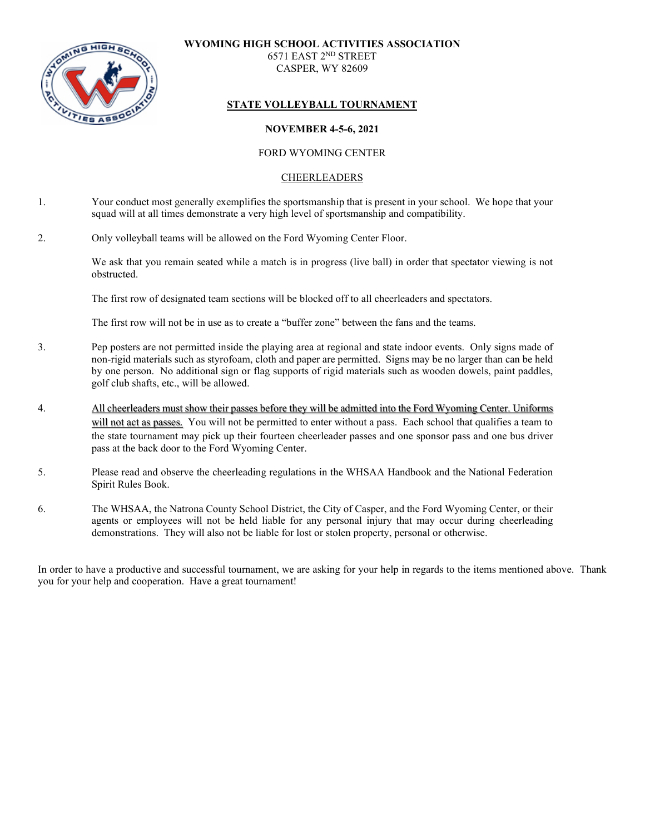

**WYOMING HIGH SCHOOL ACTIVITIES ASSOCIATION**

6571 EAST 2ND STREET CASPER, WY 82609

# **STATE VOLLEYBALL TOURNAMENT**

# **NOVEMBER 4-5-6, 2021**

## FORD WYOMING CENTER

## CHEERLEADERS

- 1. Your conduct most generally exemplifies the sportsmanship that is present in your school. We hope that your squad will at all times demonstrate a very high level of sportsmanship and compatibility.
- 2. Only volleyball teams will be allowed on the Ford Wyoming Center Floor.

We ask that you remain seated while a match is in progress (live ball) in order that spectator viewing is not obstructed.

The first row of designated team sections will be blocked off to all cheerleaders and spectators.

The first row will not be in use as to create a "buffer zone" between the fans and the teams.

- 3. Pep posters are not permitted inside the playing area at regional and state indoor events. Only signs made of non-rigid materials such as styrofoam, cloth and paper are permitted. Signs may be no larger than can be held by one person. No additional sign or flag supports of rigid materials such as wooden dowels, paint paddles, golf club shafts, etc., will be allowed.
- 4. All cheerleaders must show their passes before they will be admitted into the Ford Wyoming Center. Uniforms will not act as passes. You will not be permitted to enter without a pass. Each school that qualifies a team to the state tournament may pick up their fourteen cheerleader passes and one sponsor pass and one bus driver pass at the back door to the Ford Wyoming Center.
- 5. Please read and observe the cheerleading regulations in the WHSAA Handbook and the National Federation Spirit Rules Book.
- 6. The WHSAA, the Natrona County School District, the City of Casper, and the Ford Wyoming Center, or their agents or employees will not be held liable for any personal injury that may occur during cheerleading demonstrations. They will also not be liable for lost or stolen property, personal or otherwise.

In order to have a productive and successful tournament, we are asking for your help in regards to the items mentioned above. Thank you for your help and cooperation. Have a great tournament!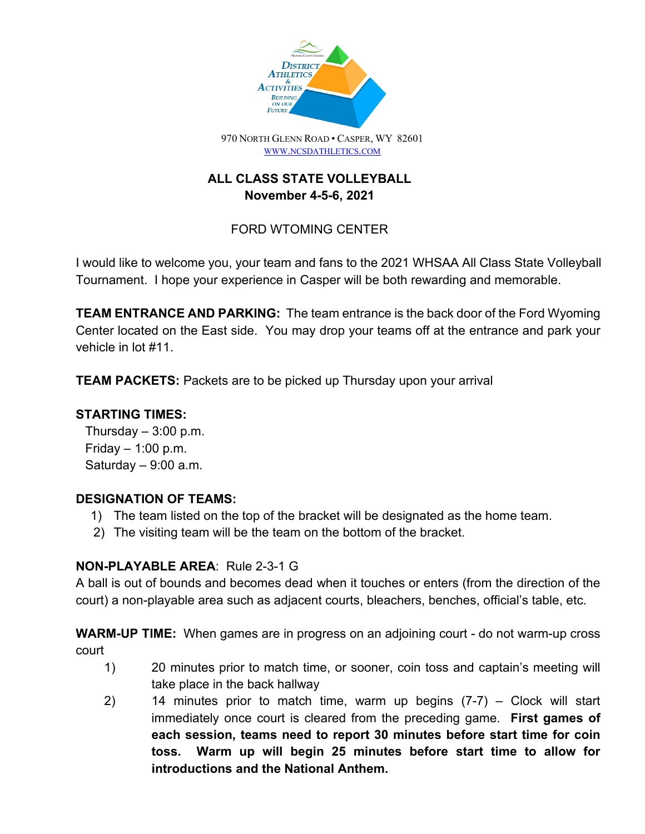

# **ALL CLASS STATE VOLLEYBALL November 4-5-6, 2021**

# FORD WTOMING CENTER

I would like to welcome you, your team and fans to the 2021 WHSAA All Class State Volleyball Tournament. I hope your experience in Casper will be both rewarding and memorable.

**TEAM ENTRANCE AND PARKING:** The team entrance is the back door of the Ford Wyoming Center located on the East side. You may drop your teams off at the entrance and park your vehicle in lot #11.

**TEAM PACKETS:** Packets are to be picked up Thursday upon your arrival

# **STARTING TIMES:**

Thursday  $-3:00$  p.m. Friday  $-1:00$  p.m. Saturday  $-9:00$  a.m.

# **DESIGNATION OF TEAMS:**

- 1) The team listed on the top of the bracket will be designated as the home team.
- 2) The visiting team will be the team on the bottom of the bracket.

# **NON-PLAYABLE AREA**: Rule 2-3-1 G

A ball is out of bounds and becomes dead when it touches or enters (from the direction of the court) a non-playable area such as adjacent courts, bleachers, benches, official's table, etc.

**WARM-UP TIME:** When games are in progress on an adjoining court - do not warm-up cross court

- 1) 20 minutes prior to match time, or sooner, coin toss and captain's meeting will take place in the back hallway
- 2) 14 minutes prior to match time, warm up begins (7-7) Clock will start immediately once court is cleared from the preceding game. **First games of each session, teams need to report 30 minutes before start time for coin toss. Warm up will begin 25 minutes before start time to allow for introductions and the National Anthem.**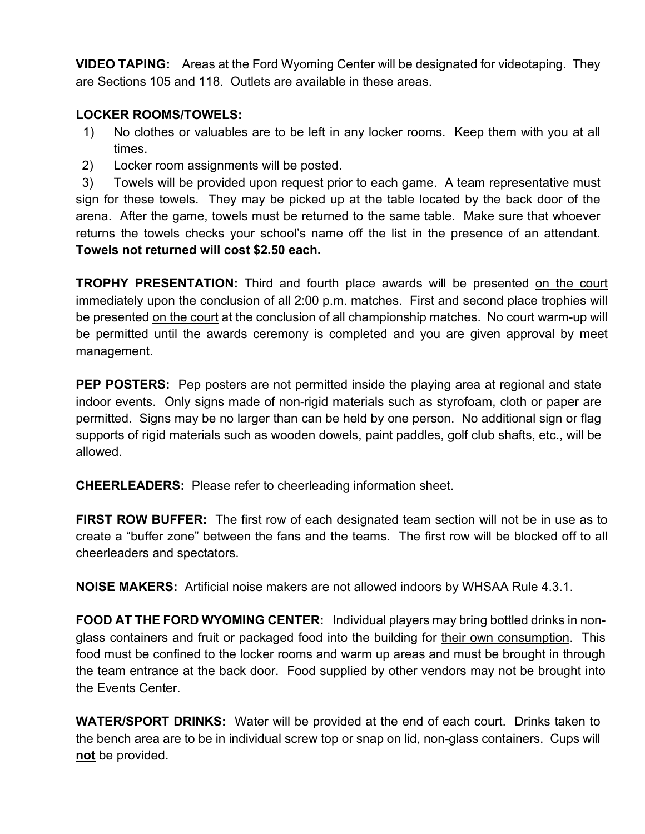**VIDEO TAPING:** Areas at the Ford Wyoming Center will be designated for videotaping. They are Sections 105 and 118. Outlets are available in these areas.

# **LOCKER ROOMS/TOWELS:**

- 1) No clothes or valuables are to be left in any locker rooms. Keep them with you at all times.
- 2) Locker room assignments will be posted.

3) Towels will be provided upon request prior to each game. A team representative must sign for these towels. They may be picked up at the table located by the back door of the arena. After the game, towels must be returned to the same table. Make sure that whoever returns the towels checks your school's name off the list in the presence of an attendant. **Towels not returned will cost \$2.50 each.**

**TROPHY PRESENTATION:** Third and fourth place awards will be presented on the court immediately upon the conclusion of all 2:00 p.m. matches. First and second place trophies will be presented on the court at the conclusion of all championship matches. No court warm-up will be permitted until the awards ceremony is completed and you are given approval by meet management.

**PEP POSTERS:** Pep posters are not permitted inside the playing area at regional and state indoor events. Only signs made of non-rigid materials such as styrofoam, cloth or paper are permitted. Signs may be no larger than can be held by one person. No additional sign or flag supports of rigid materials such as wooden dowels, paint paddles, golf club shafts, etc., will be allowed.

**CHEERLEADERS:** Please refer to cheerleading information sheet.

**FIRST ROW BUFFER:** The first row of each designated team section will not be in use as to create a "buffer zone" between the fans and the teams. The first row will be blocked off to all cheerleaders and spectators.

**NOISE MAKERS:** Artificial noise makers are not allowed indoors by WHSAA Rule 4.3.1.

**FOOD AT THE FORD WYOMING CENTER:** Individual players may bring bottled drinks in nonglass containers and fruit or packaged food into the building for their own consumption. This food must be confined to the locker rooms and warm up areas and must be brought in through the team entrance at the back door. Food supplied by other vendors may not be brought into the Events Center.

**WATER/SPORT DRINKS:** Water will be provided at the end of each court. Drinks taken to the bench area are to be in individual screw top or snap on lid, non-glass containers. Cups will **not** be provided.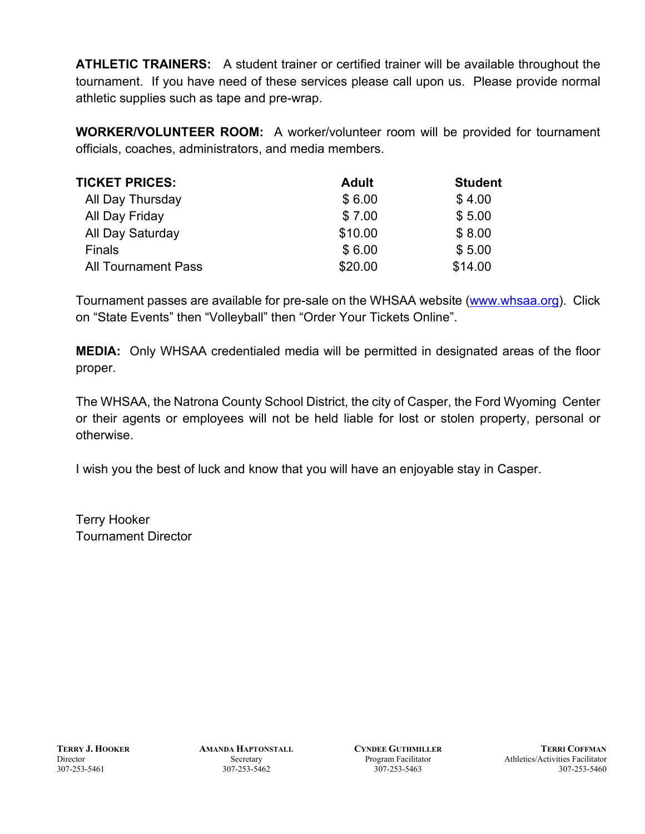**ATHLETIC TRAINERS:** A student trainer or certified trainer will be available throughout the tournament. If you have need of these services please call upon us. Please provide normal athletic supplies such as tape and pre-wrap.

**WORKER/VOLUNTEER ROOM:** A worker/volunteer room will be provided for tournament officials, coaches, administrators, and media members.

| <b>TICKET PRICES:</b>      | <b>Adult</b> | <b>Student</b> |
|----------------------------|--------------|----------------|
| All Day Thursday           | \$6.00       | \$4.00         |
| All Day Friday             | \$7.00       | \$5.00         |
| All Day Saturday           | \$10.00      | \$8.00         |
| <b>Finals</b>              | \$6.00       | \$5.00         |
| <b>All Tournament Pass</b> | \$20.00      | \$14.00        |

Tournament passes are available for pre-sale on the WHSAA website [\(www.whsaa.org\)](http://www.whsaa.org/). Click on "State Events" then "Volleyball" then "Order Your Tickets Online".

**MEDIA:** Only WHSAA credentialed media will be permitted in designated areas of the floor proper.

The WHSAA, the Natrona County School District, the city of Casper, the Ford Wyoming Center or their agents or employees will not be held liable for lost or stolen property, personal or otherwise.

I wish you the best of luck and know that you will have an enjoyable stay in Casper.

Terry Hooker Tournament Director

**TERRY J. HOOKER AMANDA HAPTONSTALL**<br> **CYNDEE GUTHMILLER TERRI COFFMAN**<br>
Program Facilitator **Program Facilitator** *Athletics/Activities Facilitator* Director Secretary Program Facilitator Athletics/Activities Facilitator S07-253-5461 307-253-5462 307-253-5462 307-253-5461 307-253-5462 307-253-5463 307-253-5460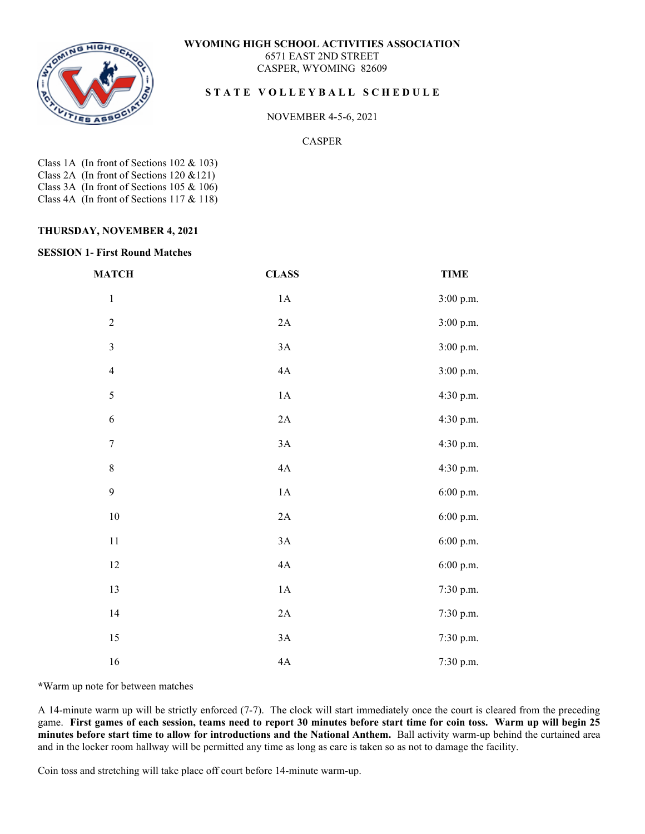# **WYOMING HIGH SCHOOL ACTIVITIES ASSOCIATION**



6571 EAST 2ND STREET CASPER, WYOMING 82609

# STATE VOLLEYBALL SCHEDULE

NOVEMBER 4-5-6, 2021

CASPER

Class 1A (In front of Sections 102 & 103) Class 2A (In front of Sections 120 &121) Class 3A (In front of Sections 105 & 106) Class 4A (In front of Sections 117 & 118)

# **THURSDAY, NOVEMBER 4, 2021**

#### **SESSION 1- First Round Matches**

| <b>MATCH</b>            | <b>CLASS</b>  | <b>TIME</b> |
|-------------------------|---------------|-------------|
| $\,1\,$                 | $1\mathrm{A}$ | 3:00 p.m.   |
| $\sqrt{2}$              | $2\mathrm{A}$ | 3:00 p.m.   |
| $\overline{\mathbf{3}}$ | $3A$          | 3:00 p.m.   |
| $\overline{4}$          | 4A            | 3:00 p.m.   |
| 5                       | $1\mathrm{A}$ | 4:30 p.m.   |
| $\sqrt{6}$              | $2\mathrm{A}$ | 4:30 p.m.   |
| $\boldsymbol{7}$        | $3A$          | 4:30 p.m.   |
| $\,$ $\,$               | $4\mathrm{A}$ | 4:30 p.m.   |
| 9                       | $1\mathrm{A}$ | 6:00 p.m.   |
| $10\,$                  | $2\mathrm{A}$ | 6:00 p.m.   |
| $11\,$                  | $3A$          | 6:00 p.m.   |
| $12\,$                  | $4\mathrm{A}$ | 6:00 p.m.   |
| 13                      | $1\mathrm{A}$ | 7:30 p.m.   |
| $14\,$                  | $2\mathrm{A}$ | 7:30 p.m.   |
| 15                      | $3A$          | 7:30 p.m.   |
| $16\,$                  | $4A$          | 7:30 p.m.   |

**\***Warm up note for between matches

A 14-minute warm up will be strictly enforced (7-7). The clock will start immediately once the court is cleared from the preceding game. **First games of each session, teams need to report 30 minutes before start time for coin toss. Warm up will begin 25 minutes before start time to allow for introductions and the National Anthem.** Ball activity warm-up behind the curtained area and in the locker room hallway will be permitted any time as long as care is taken so as not to damage the facility.

Coin toss and stretching will take place off court before 14-minute warm-up.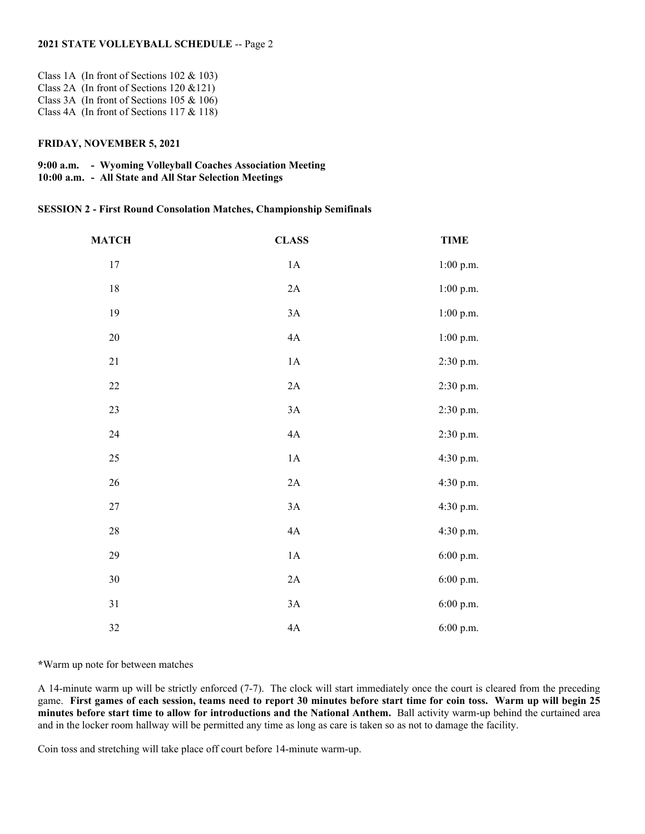# **2021 STATE VOLLEYBALL SCHEDULE** -- Page 2

- Class 1A (In front of Sections 102 & 103)
- Class 2A (In front of Sections 120 &121)
- Class 3A (In front of Sections 105 & 106)
- Class 4A (In front of Sections 117 & 118)

## **FRIDAY, NOVEMBER 5, 2021**

#### **9:00 a.m. - Wyoming Volleyball Coaches Association Meeting 10:00 a.m. - All State and All Star Selection Meetings**

**SESSION 2 - First Round Consolation Matches, Championship Semifinals**

| <b>MATCH</b> | <b>CLASS</b>  | <b>TIME</b> |
|--------------|---------------|-------------|
| 17           | $1\mathrm{A}$ | 1:00 p.m.   |
| 18           | $2\mathrm{A}$ | 1:00 p.m.   |
| 19           | 3A            | 1:00 p.m.   |
| $20\,$       | 4A            | 1:00 p.m.   |
| 21           | $1\mathrm{A}$ | 2:30 p.m.   |
| 22           | $2\mathrm{A}$ | 2:30 p.m.   |
| 23           | 3A            | 2:30 p.m.   |
| 24           | 4A            | 2:30 p.m.   |
| $25\,$       | $1\mathrm{A}$ | 4:30 p.m.   |
| $26\,$       | 2A            | 4:30 p.m.   |
| 27           | 3A            | 4:30 p.m.   |
| $28\,$       | 4A            | 4:30 p.m.   |
| 29           | $1\mathrm{A}$ | 6:00 p.m.   |
| 30           | 2A            | 6:00 p.m.   |
| 31           | 3A            | 6:00 p.m.   |
| 32           | 4A            | 6:00 p.m.   |

**\***Warm up note for between matches

A 14-minute warm up will be strictly enforced (7-7). The clock will start immediately once the court is cleared from the preceding game. **First games of each session, teams need to report 30 minutes before start time for coin toss. Warm up will begin 25 minutes before start time to allow for introductions and the National Anthem.** Ball activity warm-up behind the curtained area and in the locker room hallway will be permitted any time as long as care is taken so as not to damage the facility.

Coin toss and stretching will take place off court before 14-minute warm-up.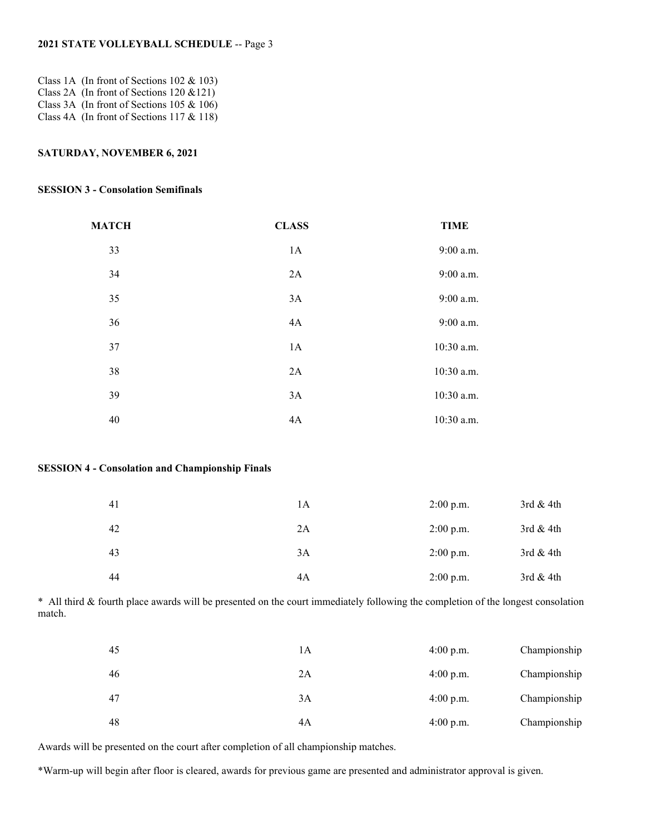## **2021 STATE VOLLEYBALL SCHEDULE** -- Page 3

- Class 1A (In front of Sections 102 & 103)
- Class 2A (In front of Sections 120 &121) Class 3A (In front of Sections 105 & 106)
- Class 4A (In front of Sections 117 & 118)

# **SATURDAY, NOVEMBER 6, 2021**

#### **SESSION 3 - Consolation Semifinals**

| <b>MATCH</b> | <b>CLASS</b> | <b>TIME</b> |
|--------------|--------------|-------------|
| 33           | 1A           | 9:00 a.m.   |
| 34           | 2A           | 9:00 a.m.   |
| 35           | 3A           | 9:00 a.m.   |
| 36           | 4A           | 9:00 a.m.   |
| 37           | 1A           | 10:30 a.m.  |
| 38           | 2A           | 10:30 a.m.  |
| 39           | 3A           | 10:30 a.m.  |
| 40           | 4A           | 10:30 a.m.  |

## **SESSION 4 - Consolation and Championship Finals**

| 41 | lА | $2:00$ p.m. | 3rd $&$ 4th |
|----|----|-------------|-------------|
| 42 | 2A | $2:00$ p.m. | 3rd $&$ 4th |
| 43 | 3A | $2:00$ p.m. | 3rd $&$ 4th |
| 44 | 4Α | $2:00$ p.m. | 3rd $&$ 4th |

\* All third & fourth place awards will be presented on the court immediately following the completion of the longest consolation match.

| 45 | lА | $4:00$ p.m. | Championship |
|----|----|-------------|--------------|
| 46 | 2Α | 4:00 p.m.   | Championship |
| 47 | 3A | 4:00 p.m.   | Championship |
| 48 | 4A | $4:00$ p.m. | Championship |

Awards will be presented on the court after completion of all championship matches.

\*Warm-up will begin after floor is cleared, awards for previous game are presented and administrator approval is given.